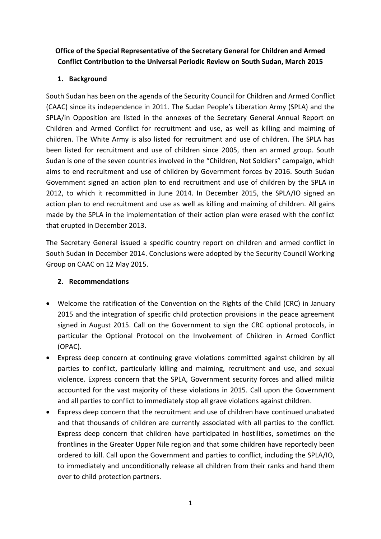## **Office of the Special Representative of the Secretary General for Children and Armed Conflict Contribution to the Universal Periodic Review on South Sudan, March 2015**

## **1. Background**

South Sudan has been on the agenda of the Security Council for Children and Armed Conflict (CAAC) since its independence in 2011. The Sudan People's Liberation Army (SPLA) and the SPLA/in Opposition are listed in the annexes of the Secretary General Annual Report on Children and Armed Conflict for recruitment and use, as well as killing and maiming of children. The White Army is also listed for recruitment and use of children. The SPLA has been listed for recruitment and use of children since 2005, then an armed group. South Sudan is one of the seven countries involved in the "Children, Not Soldiers" campaign, which aims to end recruitment and use of children by Government forces by 2016. South Sudan Government signed an action plan to end recruitment and use of children by the SPLA in 2012, to which it recommitted in June 2014. In December 2015, the SPLA/IO signed an action plan to end recruitment and use as well as killing and maiming of children. All gains made by the SPLA in the implementation of their action plan were erased with the conflict that erupted in December 2013.

The Secretary General issued a specific country report on children and armed conflict in South Sudan in December 2014. Conclusions were adopted by the Security Council Working Group on CAAC on 12 May 2015.

## **2. Recommendations**

- Welcome the ratification of the Convention on the Rights of the Child (CRC) in January 2015 and the integration of specific child protection provisions in the peace agreement signed in August 2015. Call on the Government to sign the CRC optional protocols, in particular the Optional Protocol on the Involvement of Children in Armed Conflict (OPAC).
- Express deep concern at continuing grave violations committed against children by all parties to conflict, particularly killing and maiming, recruitment and use, and sexual violence. Express concern that the SPLA, Government security forces and allied militia accounted for the vast majority of these violations in 2015. Call upon the Government and all parties to conflict to immediately stop all grave violations against children.
- Express deep concern that the recruitment and use of children have continued unabated and that thousands of children are currently associated with all parties to the conflict. Express deep concern that children have participated in hostilities, sometimes on the frontlines in the Greater Upper Nile region and that some children have reportedly been ordered to kill. Call upon the Government and parties to conflict, including the SPLA/IO, to immediately and unconditionally release all children from their ranks and hand them over to child protection partners.